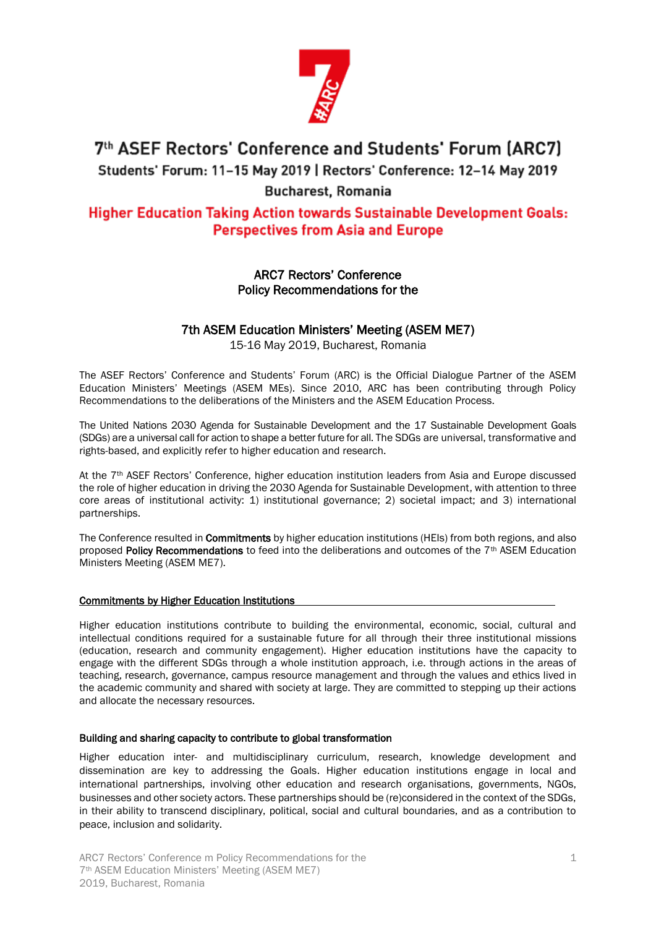

# 7th ASEF Rectors' Conference and Students' Forum (ARC7)

Students' Forum: 11-15 May 2019 | Rectors' Conference: 12-14 May 2019

## **Bucharest, Romania**

# **Higher Education Taking Action towards Sustainable Development Goals: Perspectives from Asia and Europe**

## ARC7 Rectors' Conference Policy Recommendations for the

## 7th ASEM Education Ministers' Meeting (ASEM ME7)

15-16 May 2019, Bucharest, Romania

The ASEF Rectors' Conference and Students' Forum (ARC) is the Official Dialogue Partner of the ASEM Education Ministers' Meetings (ASEM MEs). Since 2010, ARC has been contributing through Policy Recommendations to the deliberations of the Ministers and the ASEM Education Process.

The United Nations 2030 Agenda for Sustainable Development and the 17 Sustainable Development Goals (SDGs) are a universal call for action to shape a better future for all. The SDGs are universal, transformative and rights-based, and explicitly refer to higher education and research.

At the 7<sup>th</sup> ASEF Rectors' Conference, higher education institution leaders from Asia and Europe discussed the role of higher education in driving the 2030 Agenda for Sustainable Development, with attention to three core areas of institutional activity: 1) institutional governance; 2) societal impact; and 3) international partnerships.

The Conference resulted in **Commitments** by higher education institutions (HEIs) from both regions, and also proposed Policy Recommendations to feed into the deliberations and outcomes of the 7<sup>th</sup> ASEM Education Ministers Meeting (ASEM ME7).

#### Commitments by Higher Education Institutions

Higher education institutions contribute to building the environmental, economic, social, cultural and intellectual conditions required for a sustainable future for all through their three institutional missions (education, research and community engagement). Higher education institutions have the capacity to engage with the different SDGs through a whole institution approach, i.e. through actions in the areas of teaching, research, governance, campus resource management and through the values and ethics lived in the academic community and shared with society at large. They are committed to stepping up their actions and allocate the necessary resources.

#### Building and sharing capacity to contribute to global transformation

Higher education inter- and multidisciplinary curriculum, research, knowledge development and dissemination are key to addressing the Goals. Higher education institutions engage in local and international partnerships, involving other education and research organisations, governments, NGOs, businesses and other society actors. These partnerships should be (re)considered in the context of the SDGs, in their ability to transcend disciplinary, political, social and cultural boundaries, and as a contribution to peace, inclusion and solidarity.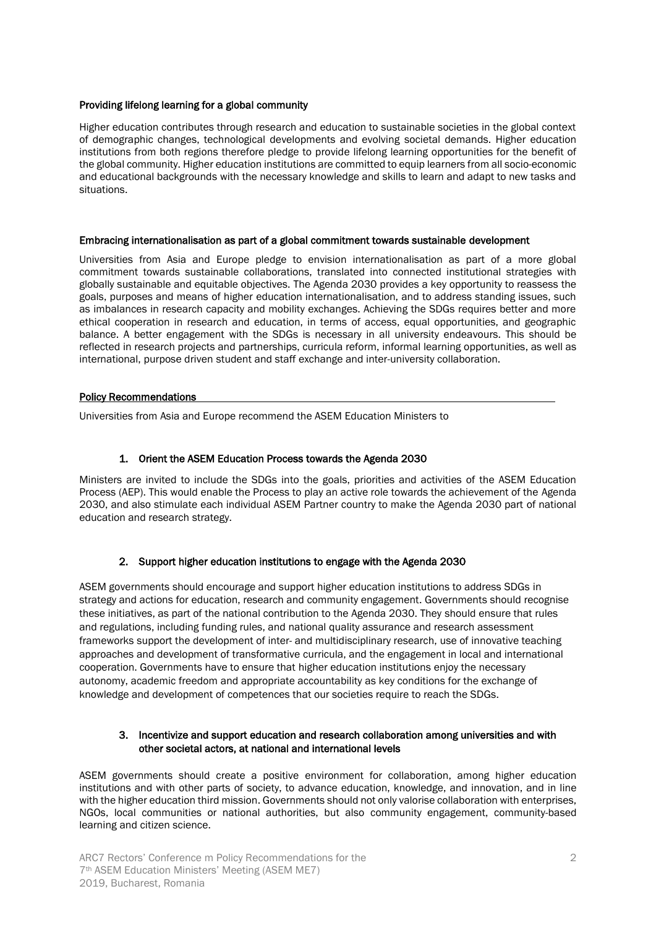#### Providing lifelong learning for a global community

Higher education contributes through research and education to sustainable societies in the global context of demographic changes, technological developments and evolving societal demands. Higher education institutions from both regions therefore pledge to provide lifelong learning opportunities for the benefit of the global community. Higher education institutions are committed to equip learners from all socio-economic and educational backgrounds with the necessary knowledge and skills to learn and adapt to new tasks and situations.

#### Embracing internationalisation as part of a global commitment towards sustainable development

Universities from Asia and Europe pledge to envision internationalisation as part of a more global commitment towards sustainable collaborations, translated into connected institutional strategies with globally sustainable and equitable objectives. The Agenda 2030 provides a key opportunity to reassess the goals, purposes and means of higher education internationalisation, and to address standing issues, such as imbalances in research capacity and mobility exchanges. Achieving the SDGs requires better and more ethical cooperation in research and education, in terms of access, equal opportunities, and geographic balance. A better engagement with the SDGs is necessary in all university endeavours. This should be reflected in research projects and partnerships, curricula reform, informal learning opportunities, as well as international, purpose driven student and staff exchange and inter-university collaboration.

#### Policy Recommendations

Universities from Asia and Europe recommend the ASEM Education Ministers to

#### 1. Orient the ASEM Education Process towards the Agenda 2030

Ministers are invited to include the SDGs into the goals, priorities and activities of the ASEM Education Process (AEP). This would enable the Process to play an active role towards the achievement of the Agenda 2030, and also stimulate each individual ASEM Partner country to make the Agenda 2030 part of national education and research strategy.

#### 2. Support higher education institutions to engage with the Agenda 2030

ASEM governments should encourage and support higher education institutions to address SDGs in strategy and actions for education, research and community engagement. Governments should recognise these initiatives, as part of the national contribution to the Agenda 2030. They should ensure that rules and regulations, including funding rules, and national quality assurance and research assessment frameworks support the development of inter- and multidisciplinary research, use of innovative teaching approaches and development of transformative curricula, and the engagement in local and international cooperation. Governments have to ensure that higher education institutions enjoy the necessary autonomy, academic freedom and appropriate accountability as key conditions for the exchange of knowledge and development of competences that our societies require to reach the SDGs.

#### 3. Incentivize and support education and research collaboration among universities and with other societal actors, at national and international levels

ASEM governments should create a positive environment for collaboration, among higher education institutions and with other parts of society, to advance education, knowledge, and innovation, and in line with the higher education third mission. Governments should not only valorise collaboration with enterprises, NGOs, local communities or national authorities, but also community engagement, community-based learning and citizen science.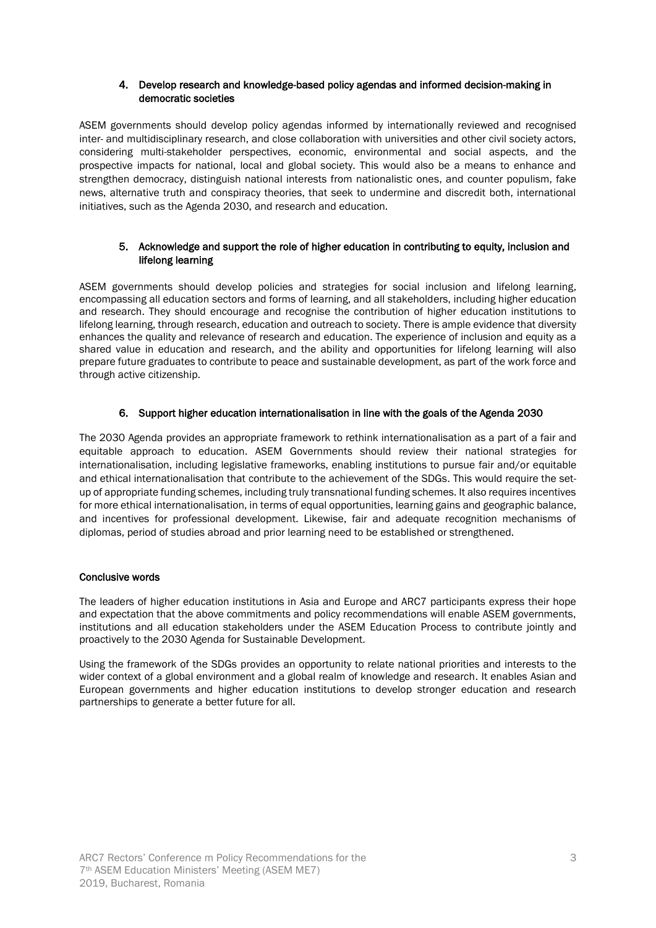#### 4. Develop research and knowledge-based policy agendas and informed decision-making in democratic societies

ASEM governments should develop policy agendas informed by internationally reviewed and recognised inter- and multidisciplinary research, and close collaboration with universities and other civil society actors, considering multi-stakeholder perspectives, economic, environmental and social aspects, and the prospective impacts for national, local and global society. This would also be a means to enhance and strengthen democracy, distinguish national interests from nationalistic ones, and counter populism, fake news, alternative truth and conspiracy theories, that seek to undermine and discredit both, international initiatives, such as the Agenda 2030, and research and education.

#### 5. Acknowledge and support the role of higher education in contributing to equity, inclusion and lifelong learning

ASEM governments should develop policies and strategies for social inclusion and lifelong learning, encompassing all education sectors and forms of learning, and all stakeholders, including higher education and research. They should encourage and recognise the contribution of higher education institutions to lifelong learning, through research, education and outreach to society. There is ample evidence that diversity enhances the quality and relevance of research and education. The experience of inclusion and equity as a shared value in education and research, and the ability and opportunities for lifelong learning will also prepare future graduates to contribute to peace and sustainable development, as part of the work force and through active citizenship.

### 6. Support higher education internationalisation in line with the goals of the Agenda 2030

The 2030 Agenda provides an appropriate framework to rethink internationalisation as a part of a fair and equitable approach to education. ASEM Governments should review their national strategies for internationalisation, including legislative frameworks, enabling institutions to pursue fair and/or equitable and ethical internationalisation that contribute to the achievement of the SDGs. This would require the setup of appropriate funding schemes, including truly transnational funding schemes. It also requires incentives for more ethical internationalisation, in terms of equal opportunities, learning gains and geographic balance, and incentives for professional development. Likewise, fair and adequate recognition mechanisms of diplomas, period of studies abroad and prior learning need to be established or strengthened.

#### Conclusive words

The leaders of higher education institutions in Asia and Europe and ARC7 participants express their hope and expectation that the above commitments and policy recommendations will enable ASEM governments, institutions and all education stakeholders under the ASEM Education Process to contribute jointly and proactively to the 2030 Agenda for Sustainable Development.

Using the framework of the SDGs provides an opportunity to relate national priorities and interests to the wider context of a global environment and a global realm of knowledge and research. It enables Asian and European governments and higher education institutions to develop stronger education and research partnerships to generate a better future for all.